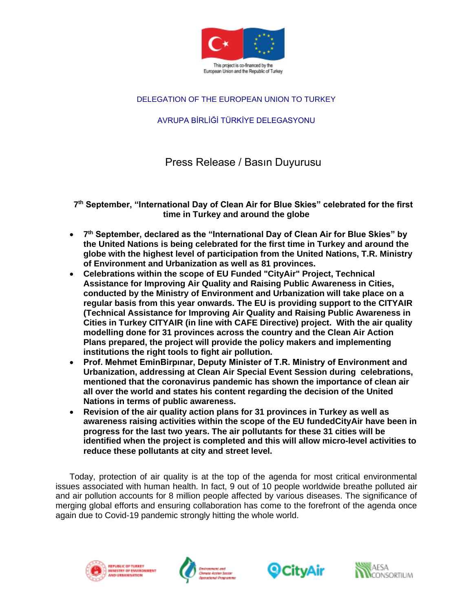

### DELEGATION OF THE EUROPEAN UNION TO TURKEY

# AVRUPA BİRLİĞİ TÜRKİYE DELEGASYONU

Press Release / Basın Duyurusu

**7 th September, "International Day of Clean Air for Blue Skies" celebrated for the first time in Turkey and around the globe** 

- **7 th September, declared as the "International Day of Clean Air for Blue Skies" by the United Nations is being celebrated for the first time in Turkey and around the globe with the highest level of participation from the United Nations, T.R. Ministry of Environment and Urbanization as well as 81 provinces.**
- **Celebrations within the scope of EU Funded "CityAir" Project, Technical Assistance for Improving Air Quality and Raising Public Awareness in Cities, conducted by the Ministry of Environment and Urbanization will take place on a regular basis from this year onwards. The EU is providing support to the CITYAIR (Technical Assistance for Improving Air Quality and Raising Public Awareness in Cities in Turkey CITYAIR (in line with CAFE Directive) project. With the air quality modelling done for 31 provinces across the country and the Clean Air Action Plans prepared, the project will provide the policy makers and implementing institutions the right tools to fight air pollution.**
- **Prof. Mehmet EminBirpınar, Deputy Minister of T.R. Ministry of Environment and Urbanization, addressing at Clean Air Special Event Session during celebrations, mentioned that the coronavirus pandemic has shown the importance of clean air all over the world and states his content regarding the decision of the United Nations in terms of public awareness.**
- **Revision of the air quality action plans for 31 provinces in Turkey as well as awareness raising activities within the scope of the EU fundedCityAir have been in progress for the last two years. The air pollutants for these 31 cities will be identified when the project is completed and this will allow micro-level activities to reduce these pollutants at city and street level.**

Today, protection of air quality is at the top of the agenda for most critical environmental issues associated with human health. In fact, 9 out of 10 people worldwide breathe polluted air and air pollution accounts for 8 million people affected by various diseases. The significance of merging global efforts and ensuring collaboration has come to the forefront of the agenda once again due to Covid-19 pandemic strongly hitting the whole world.







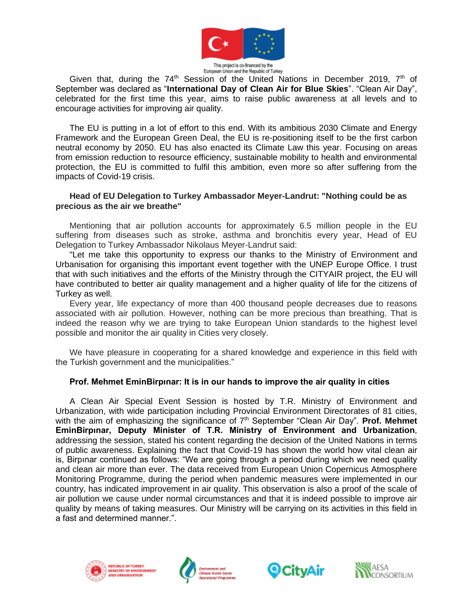

European Union and the Republic of Turkey

Given that, during the  $74<sup>th</sup>$  Session of the United Nations in December 2019,  $7<sup>th</sup>$  of September was declared as "**International Day of Clean Air for Blue Skies**". "Clean Air Day", celebrated for the first time this year, aims to raise public awareness at all levels and to encourage activities for improving air quality.

The EU is putting in a lot of effort to this end. With its ambitious 2030 Climate and Energy Framework and the European Green Deal, the EU is re-positioning itself to be the first carbon neutral economy by 2050. EU has also enacted its Climate Law this year. Focusing on areas from emission reduction to resource efficiency, sustainable mobility to health and environmental protection, the EU is committed to fulfil this ambition, even more so after suffering from the impacts of Covid-19 crisis.

### **Head of EU Delegation to Turkey Ambassador Meyer-Landrut: "Nothing could be as precious as the air we breathe"**

Mentioning that air pollution accounts for approximately 6.5 million people in the EU suffering from diseases such as stroke, asthma and bronchitis every year, Head of EU Delegation to Turkey Ambassador Nikolaus Meyer-Landrut said:

"Let me take this opportunity to express our thanks to the Ministry of Environment and Urbanisation for organising this important event together with the UNEP Europe Office. I trust that with such initiatives and the efforts of the Ministry through the CITYAIR project, the EU will have contributed to better air quality management and a higher quality of life for the citizens of Turkey as well.

Every year, life expectancy of more than 400 thousand people decreases due to reasons associated with air pollution. However, nothing can be more precious than breathing. That is indeed the reason why we are trying to take European Union standards to the highest level possible and monitor the air quality in Cities very closely.

We have pleasure in cooperating for a shared knowledge and experience in this field with the Turkish government and the municipalities."

### **Prof. Mehmet EminBirpınar: It is in our hands to improve the air quality in cities**

A Clean Air Special Event Session is hosted by T.R. Ministry of Environment and Urbanization, with wide participation including Provincial Environment Directorates of 81 cities, with the aim of emphasizing the significance of 7<sup>th</sup> September "Clean Air Day". **Prof. Mehmet EminBirpınar, Deputy Minister of T.R. Ministry of Environment and Urbanization**, addressing the session, stated his content regarding the decision of the United Nations in terms of public awareness. Explaining the fact that Covid-19 has shown the world how vital clean air is, Birpınar continued as follows: "We are going through a period during which we need quality and clean air more than ever. The data received from European Union Copernicus Atmosphere Monitoring Programme, during the period when pandemic measures were implemented in our country, has indicated improvement in air quality. This observation is also a proof of the scale of air pollution we cause under normal circumstances and that it is indeed possible to improve air quality by means of taking measures. Our Ministry will be carrying on its activities in this field in a fast and determined manner.".







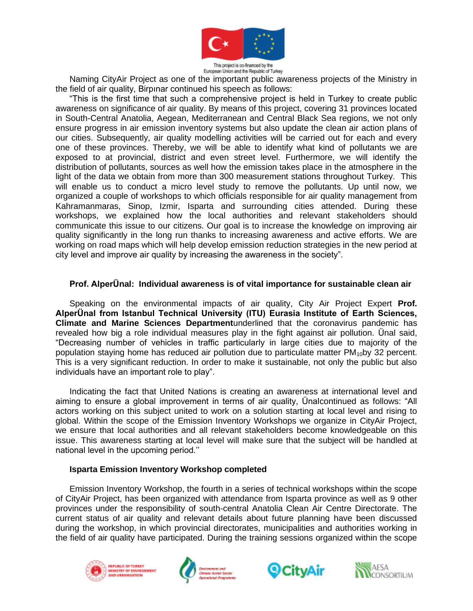

This project is co-financed by the European Union and the Republic of Turkey

Naming CityAir Project as one of the important public awareness projects of the Ministry in the field of air quality, Birpınar continued his speech as follows:

"This is the first time that such a comprehensive project is held in Turkey to create public awareness on significance of air quality. By means of this project, covering 31 provinces located in South-Central Anatolia, Aegean, Mediterranean and Central Black Sea regions, we not only ensure progress in air emission inventory systems but also update the clean air action plans of our cities. Subsequently, air quality modelling activities will be carried out for each and every one of these provinces. Thereby, we will be able to identify what kind of pollutants we are exposed to at provincial, district and even street level. Furthermore, we will identify the distribution of pollutants, sources as well how the emission takes place in the atmosphere in the light of the data we obtain from more than 300 measurement stations throughout Turkey. This will enable us to conduct a micro level study to remove the pollutants. Up until now, we organized a couple of workshops to which officials responsible for air quality management from Kahramanmaras, Sinop, Izmir, Isparta and surrounding cities attended. During these workshops, we explained how the local authorities and relevant stakeholders should communicate this issue to our citizens. Our goal is to increase the knowledge on improving air quality significantly in the long run thanks to increasing awareness and active efforts. We are working on road maps which will help develop emission reduction strategies in the new period at city level and improve air quality by increasing the awareness in the society".

### **Prof. AlperÜnal: Individual awareness is of vital importance for sustainable clean air**

Speaking on the environmental impacts of air quality, City Air Project Expert **Prof. AlperÜnal from Istanbul Technical University (ITU) Eurasia Institute of Earth Sciences, Climate and Marine Sciences Department**underlined that the coronavirus pandemic has revealed how big a role individual measures play in the fight against air pollution. Ünal said, "Decreasing number of vehicles in traffic particularly in large cities due to majority of the population staying home has reduced air pollution due to particulate matter  $PM_{10}$ by 32 percent. This is a very significant reduction. In order to make it sustainable, not only the public but also individuals have an important role to play".

Indicating the fact that United Nations is creating an awareness at international level and aiming to ensure a global improvement in terms of air quality, Ünalcontinued as follows: "All actors working on this subject united to work on a solution starting at local level and rising to global. Within the scope of the Emission Inventory Workshops we organize in CityAir Project, we ensure that local authorities and all relevant stakeholders become knowledgeable on this issue. This awareness starting at local level will make sure that the subject will be handled at national level in the upcoming period.''

#### **Isparta Emission Inventory Workshop completed**

Emission Inventory Workshop, the fourth in a series of technical workshops within the scope of CityAir Project, has been organized with attendance from Isparta province as well as 9 other provinces under the responsibility of south-central Anatolia Clean Air Centre Directorate. The current status of air quality and relevant details about future planning have been discussed during the workshop, in which provincial directorates, municipalities and authorities working in the field of air quality have participated. During the training sessions organized within the scope







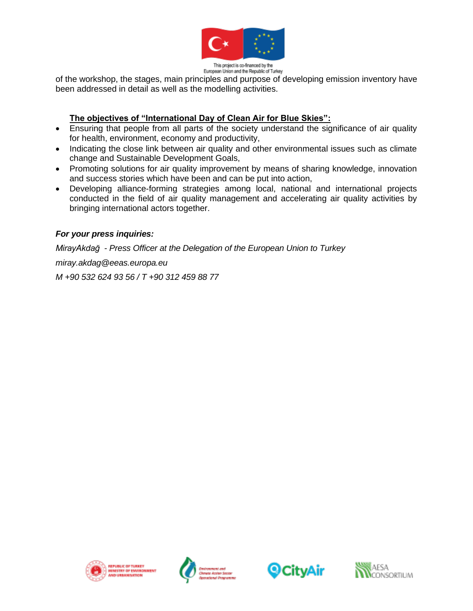

This project is co-financed by the European Union and the Republic of Turkey

of the workshop, the stages, main principles and purpose of developing emission inventory have been addressed in detail as well as the modelling activities.

### **The objectives of "International Day of Clean Air for Blue Skies":**

- Ensuring that people from all parts of the society understand the significance of air quality for health, environment, economy and productivity,
- Indicating the close link between air quality and other environmental issues such as climate change and Sustainable Development Goals,
- Promoting solutions for air quality improvement by means of sharing knowledge, innovation and success stories which have been and can be put into action,
- Developing alliance-forming strategies among local, national and international projects conducted in the field of air quality management and accelerating air quality activities by bringing international actors together.

## *For your press inquiries:*

*MirayAkdağ - Press Officer at the Delegation of the European Union to Turkey miray.akdag@eeas.europa.eu*

*M +90 532 624 93 56 / T +90 312 459 88 77*